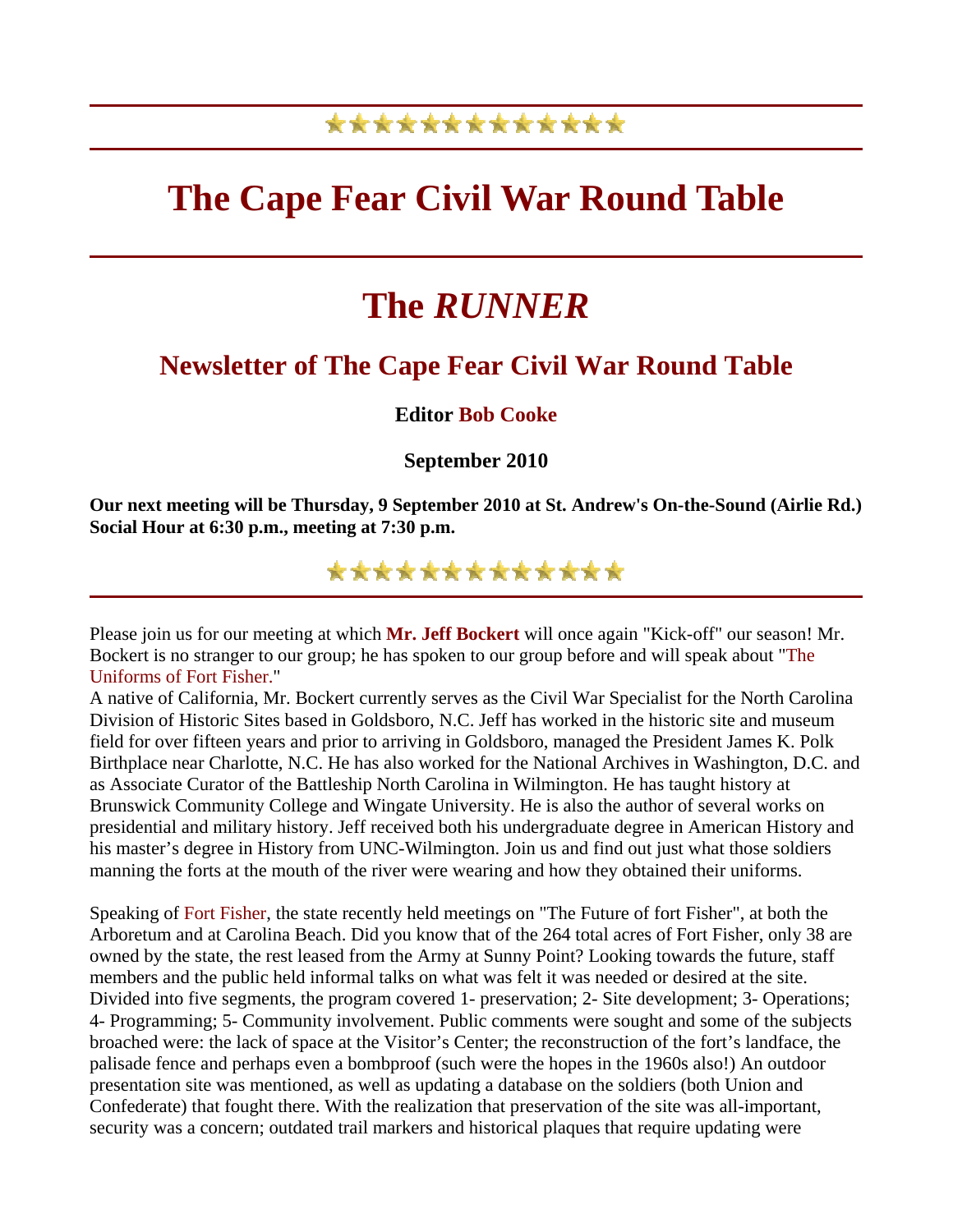### \*\*\*\*\*\*\*\*\*\*\*\*\*

## **The Cape Fear Civil War Round Table**

# **The** *RUNNER*

### **Newsletter of The Cape Fear Civil War Round Table**

#### **Editor Bob Cooke**

**September 2010** 

**Our next meeting will be Thursday, 9 September 2010 at St. Andrew's On-the-Sound (Airlie Rd.) Social Hour at 6:30 p.m., meeting at 7:30 p.m.**

\*\*\*\*\*\*\*\*\*\*\*\*\*

Please join us for our meeting at which **Mr. Jeff Bockert** will once again "Kick-off" our season! Mr. Bockert is no stranger to our group; he has spoken to our group before and will speak about "The Uniforms of Fort Fisher."

A native of California, Mr. Bockert currently serves as the Civil War Specialist for the North Carolina Division of Historic Sites based in Goldsboro, N.C. Jeff has worked in the historic site and museum field for over fifteen years and prior to arriving in Goldsboro, managed the President James K. Polk Birthplace near Charlotte, N.C. He has also worked for the National Archives in Washington, D.C. and as Associate Curator of the Battleship North Carolina in Wilmington. He has taught history at Brunswick Community College and Wingate University. He is also the author of several works on presidential and military history. Jeff received both his undergraduate degree in American History and his master's degree in History from UNC-Wilmington. Join us and find out just what those soldiers manning the forts at the mouth of the river were wearing and how they obtained their uniforms.

Speaking of Fort Fisher, the state recently held meetings on "The Future of fort Fisher", at both the Arboretum and at Carolina Beach. Did you know that of the 264 total acres of Fort Fisher, only 38 are owned by the state, the rest leased from the Army at Sunny Point? Looking towards the future, staff members and the public held informal talks on what was felt it was needed or desired at the site. Divided into five segments, the program covered 1- preservation; 2- Site development; 3- Operations; 4- Programming; 5- Community involvement. Public comments were sought and some of the subjects broached were: the lack of space at the Visitor's Center; the reconstruction of the fort's landface, the palisade fence and perhaps even a bombproof (such were the hopes in the 1960s also!) An outdoor presentation site was mentioned, as well as updating a database on the soldiers (both Union and Confederate) that fought there. With the realization that preservation of the site was all-important, security was a concern; outdated trail markers and historical plaques that require updating were